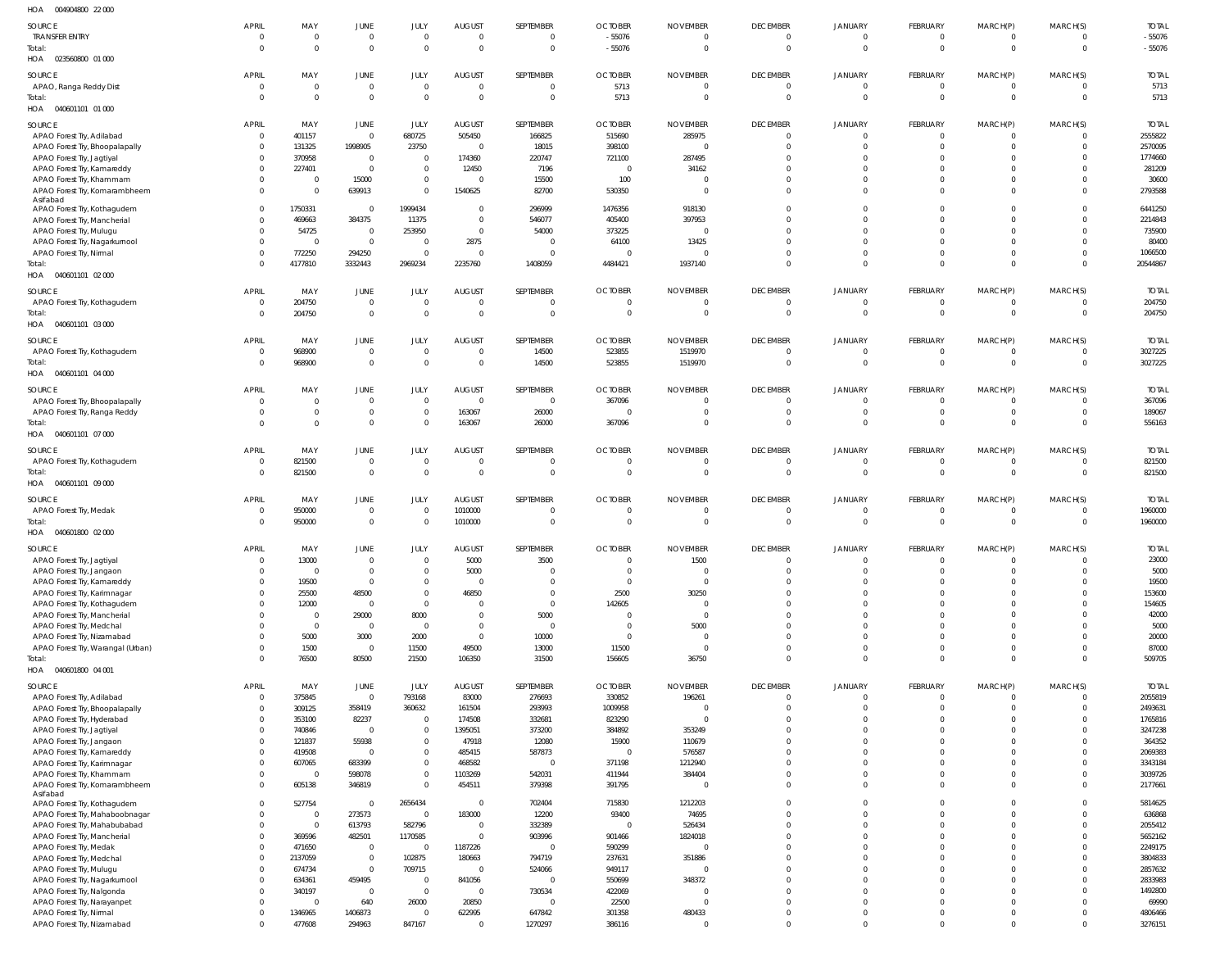| HOA<br>004904800 22 000                                         |                              |                         |                                           |                         |                                 |                             |                            |                                 |                                   |                            |                      |                               |                            |                        |
|-----------------------------------------------------------------|------------------------------|-------------------------|-------------------------------------------|-------------------------|---------------------------------|-----------------------------|----------------------------|---------------------------------|-----------------------------------|----------------------------|----------------------|-------------------------------|----------------------------|------------------------|
| SOURCE                                                          | <b>APRIL</b>                 | MAY                     | JUNE                                      | JULY                    | AUGUST                          | SEPTEMBER                   | <b>OCTOBER</b>             | <b>NOVEMBER</b>                 | <b>DECEMBER</b>                   | JANUARY                    | FEBRUARY             | MARCH(P)                      | MARCH(S)                   | <b>TOTAL</b>           |
| <b>TRANSFER ENTRY</b>                                           | 0                            | $\overline{0}$          | $\overline{\mathbf{0}}$                   | 0                       | $\overline{\phantom{0}}$        | $\Omega$                    | $-55076$                   | 0                               | $\overline{0}$                    | $\overline{0}$             | 0                    | 0                             | $\overline{0}$             | $-55076$               |
| Total:<br>HOA  023560800  01  000                               | $\overline{0}$               | $\overline{0}$          | $\overline{0}$                            | $\Omega$                | $\overline{0}$                  | $\overline{0}$              | $-55076$                   | $\mathbf 0$                     | $\overline{0}$                    | $\overline{0}$             | $\mathbf{0}$         | $\overline{0}$                | $\overline{0}$             | $-55076$               |
|                                                                 |                              |                         |                                           |                         |                                 |                             |                            |                                 |                                   |                            |                      |                               |                            |                        |
| SOURCE<br>APAO, Ranga Reddy Dist                                | <b>APRIL</b><br>$\mathbf{0}$ | MAY<br>$\overline{0}$   | JUNE<br>$\overline{0}$                    | JULY<br>$\Omega$        | <b>AUGUST</b><br>$\overline{0}$ | SEPTEMBER<br>$\overline{0}$ | <b>OCTOBER</b><br>5713     | <b>NOVEMBER</b><br>$\mathbf{0}$ | <b>DECEMBER</b><br>$\overline{0}$ | JANUARY<br>$\overline{0}$  | FEBRUARY<br>$\Omega$ | MARCH(P)<br>$\overline{0}$    | MARCH(S)<br>$\overline{0}$ | <b>TOTAL</b><br>5713   |
| Total:                                                          | $\Omega$                     | $\Omega$                | $\overline{0}$                            | $\Omega$                | $\Omega$                        | $\Omega$                    | 5713                       | $\Omega$                        | $\Omega$                          | $\Omega$                   | $\Omega$             | $\overline{0}$                | $\overline{0}$             | 5713                   |
| HOA  040601101  01  000                                         |                              |                         |                                           |                         |                                 |                             |                            |                                 |                                   |                            |                      |                               |                            |                        |
| SOURCE                                                          | <b>APRIL</b>                 | MAY                     | JUNE                                      | JULY                    | AUGUST                          | SEPTEMBER                   | <b>OCTOBER</b>             | NOVEMBER                        | <b>DECEMBER</b>                   | JANUARY                    | FEBRUARY             | MARCH(P)                      | MARCH(S)                   | <b>TOTAL</b>           |
| APAO Forest Try, Adilabad                                       | $\overline{0}$               | 401157                  | $\overline{\phantom{0}}$                  | 680725                  | 505450                          | 166825                      | 515690                     | 285975                          | $\overline{0}$                    | $\overline{0}$             | $\Omega$             | $\mathbf{0}$                  | $\overline{0}$             | 2555822                |
| APAO Forest Try, Bhoopalapally                                  | $\mathbf 0$                  | 131325                  | 1998905                                   | 23750                   | $\overline{\mathbf{0}}$         | 18015                       | 398100                     | 0                               | $\Omega$                          | - 0                        | $\cup$               | $\overline{0}$                | $\overline{0}$             | 2570095                |
| APAO Forest Try, Jagtiyal                                       | $\mathbf{0}$<br>$\mathbf{0}$ | 370958<br>227401        | $\overline{\mathbf{0}}$<br>$\overline{0}$ | 0<br>$\mathbf{0}$       | 174360<br>12450                 | 220747<br>7196              | 721100<br>$\Omega$         | 287495<br>34162                 | $\Omega$<br>$\Omega$              | $\Omega$<br>$\Omega$       |                      | $\Omega$<br>$\Omega$          | $\Omega$<br>$\Omega$       | 1774660<br>281209      |
| APAO Forest Try, Kamareddy<br>APAO Forest Try, Khammam          | $\Omega$                     | $\overline{0}$          | 15000                                     | $\mathbf{0}$            | $\overline{\mathbf{0}}$         | 15500                       | 100                        | 0                               | $\Omega$                          | $\Omega$                   |                      | $\Omega$                      | $\Omega$                   | 30600                  |
| APAO Forest Try, Komarambheem                                   | $\Omega$                     | $\overline{0}$          | 639913                                    | $\Omega$                | 1540625                         | 82700                       | 530350                     | $\mathbf{0}$                    | $\Omega$                          | $\Omega$                   |                      | $\Omega$                      | $\Omega$                   | 2793588                |
| Asifabad                                                        | $\Omega$                     | 1750331                 | $\overline{0}$                            | 1999434                 | $\overline{\mathbf{0}}$         | 296999                      | 1476356                    | 918130                          | $\Omega$                          | $\Omega$                   |                      | $\Omega$                      | $\Omega$                   | 6441250                |
| APAO Forest Try, Kothagudem<br>APAO Forest Try, Mancherial      | $\Omega$                     | 469663                  | 384375                                    | 11375                   | $\overline{\phantom{0}}$        | 546077                      | 405400                     | 397953                          | $\Omega$                          | $\Omega$                   |                      | $\Omega$                      | $\Omega$                   | 2214843                |
| APAO Forest Try, Mulugu                                         | $\Omega$                     | 54725                   | $\overline{0}$                            | 253950                  | $\overline{0}$                  | 54000                       | 373225                     | $\Omega$                        | $\Omega$                          | $\Omega$                   |                      | $\Omega$                      | $\Omega$                   | 735900                 |
| APAO Forest Try, Nagarkurnool                                   | $\Omega$                     | $\overline{0}$          | $\overline{0}$                            | $\Omega$                | 2875                            | - 0                         | 64100                      | 13425                           | $\Omega$                          | $\Omega$                   |                      | $\Omega$                      | $\Omega$                   | 80400                  |
| APAO Forest Try, Nirmal                                         | $\Omega$                     | 772250                  | 294250                                    | $\Omega$                | $\overline{0}$                  | - 0                         | $\Omega$                   |                                 | $\Omega$                          | 0                          |                      | $\Omega$                      | $\Omega$                   | 1066500                |
| Total:<br>HOA  040601101  02  000                               | $\Omega$                     | 4177810                 | 3332443                                   | 2969234                 | 2235760                         | 1408059                     | 4484421                    | 1937140                         | $\Omega$                          | $\Omega$                   |                      | $\overline{0}$                | $\overline{0}$             | 20544867               |
|                                                                 |                              |                         |                                           |                         |                                 |                             |                            |                                 |                                   |                            |                      |                               |                            |                        |
| SOURCE                                                          | <b>APRIL</b><br>$\mathbf{0}$ | MAY<br>204750           | JUNE<br>$\overline{0}$                    | JULY<br>$\Omega$        | <b>AUGUST</b><br>$\overline{0}$ | SEPTEMBER<br>$\Omega$       | <b>OCTOBER</b><br>$\Omega$ | <b>NOVEMBER</b><br>0            | <b>DECEMBER</b><br>0              | JANUARY<br>$\overline{0}$  | FEBRUARY<br>$\Omega$ | MARCH(P)<br>$\overline{0}$    | MARCH(S)<br>$\mathbf{0}$   | <b>TOTAI</b><br>204750 |
| APAO Forest Try, Kothagudem<br>Total:                           | - 0                          | 204750                  | $\overline{0}$                            | $\Omega$                | $\overline{0}$                  | $\overline{0}$              | $\overline{0}$             | $\mathbf{0}$                    | $\overline{0}$                    | $\overline{0}$             | $\Omega$             | $\overline{0}$                | $\overline{0}$             | 204750                 |
| HOA  040601101  03  000                                         |                              |                         |                                           |                         |                                 |                             |                            |                                 |                                   |                            |                      |                               |                            |                        |
| SOURCE                                                          | <b>APRIL</b>                 | MAY                     | <b>JUNE</b>                               | JULY                    | <b>AUGUST</b>                   | SEPTEMBER                   | <b>OCTOBER</b>             | <b>NOVEMBER</b>                 | <b>DECEMBER</b>                   | <b>JANUARY</b>             | FEBRUARY             | MARCH(P)                      | MARCH(S)                   | <b>TOTAL</b>           |
| APAO Forest Try, Kothagudem                                     | $\overline{0}$               | 968900                  | $\overline{0}$                            | 0                       | $\overline{\phantom{0}}$        | 14500                       | 523855                     | 1519970                         | $\overline{0}$                    | $\overline{0}$             | $\Omega$             | $\mathbf 0$                   | $\overline{0}$             | 3027225                |
| Total:                                                          | $\Omega$                     | 968900                  | $\overline{0}$                            | $\Omega$                | $\overline{\phantom{0}}$        | 14500                       | 523855                     | 1519970                         | $\overline{0}$                    | $\overline{0}$             | $\Omega$             | $\overline{0}$                | $\overline{0}$             | 3027225                |
| HOA  040601101  04  000                                         |                              |                         |                                           |                         |                                 |                             |                            |                                 |                                   |                            |                      |                               |                            |                        |
| SOURCE                                                          | <b>APRIL</b>                 | MAY                     | JUNE                                      | JULY                    | <b>AUGUST</b>                   | SEPTEMBER                   | <b>OCTOBER</b>             | <b>NOVEMBER</b>                 | <b>DECEMBER</b>                   | JANUARY                    | FEBRUARY             | MARCH(P)                      | MARCH(S)                   | <b>TOTAI</b>           |
| APAO Forest Try, Bhoopalapally                                  | $\Omega$                     | $\overline{0}$          | $\overline{0}$                            | $\Omega$                | $\overline{0}$                  | $\Omega$                    | 367096                     | $\Omega$                        | $\Omega$                          | $\overline{0}$             | $\Omega$             | $\overline{0}$                | $\overline{0}$             | 367096                 |
| APAO Forest Try, Ranga Reddy                                    | $\Omega$                     | $\overline{0}$          | $\mathbf 0$                               | $\Omega$                | 163067                          | 26000                       |                            | $\Omega$                        | $\overline{0}$                    | $\overline{0}$             |                      | $\overline{0}$                | $\overline{0}$             | 189067                 |
| Total:<br>HOA  040601101  07  000                               | $\Omega$                     | $\Omega$                | $\overline{0}$                            | $\Omega$                | 163067                          | 26000                       | 367096                     | $\Omega$                        | $\overline{0}$                    | $\overline{0}$             | $\Omega$             | $\overline{0}$                | $\overline{0}$             | 556163                 |
|                                                                 |                              |                         |                                           |                         |                                 |                             |                            |                                 |                                   |                            |                      |                               |                            |                        |
| SOURCE                                                          | <b>APRIL</b>                 | MAY                     | <b>JUNE</b><br>$\overline{0}$             | JULY<br>$^{\circ}$      | <b>AUGUST</b><br>$\overline{0}$ | SEPTEMBER<br>- 0            | <b>OCTOBER</b><br>$\Omega$ | <b>NOVEMBER</b><br>0            | <b>DECEMBER</b><br>$\overline{0}$ | JANUARY<br>$\overline{0}$  | FEBRUARY<br>0        | MARCH(P)                      | MARCH(S)<br>$\overline{0}$ | <b>TOTAL</b>           |
| APAO Forest Try, Kothagudem<br>Total:                           | $\overline{0}$<br>- 0        | 821500<br>821500        | $\overline{\phantom{0}}$                  | $\mathbf 0$             | $\overline{0}$                  | $\overline{0}$              | $\Omega$                   | $\mathbf 0$                     | $\overline{0}$                    | $\overline{0}$             | $\Omega$             | $\mathbf 0$<br>$\overline{0}$ | $\overline{0}$             | 821500<br>821500       |
| HOA  040601101  09  000                                         |                              |                         |                                           |                         |                                 |                             |                            |                                 |                                   |                            |                      |                               |                            |                        |
| SOURCE                                                          | <b>APRIL</b>                 | MAY                     | JUNE                                      | JULY                    | AUGUST                          | SEPTEMBER                   | <b>OCTOBER</b>             | <b>NOVEMBER</b>                 | <b>DECEMBER</b>                   | <b>JANUARY</b>             | FEBRUARY             | MARCH(P)                      | MARCH(S)                   | <b>TOTAL</b>           |
| APAO Forest Try, Medak                                          | $\overline{0}$               | 950000                  | $\overline{0}$                            | $\Omega$                | 1010000                         | $\Omega$                    | $\Omega$                   | $\mathbf{0}$                    | $\overline{0}$                    | $\overline{0}$             | $\Omega$             | $\overline{0}$                | $\overline{0}$             | 1960000                |
| Total:                                                          | $\overline{0}$               | 950000                  | $\overline{0}$                            | $\Omega$                | 1010000                         | $\Omega$                    | $\Omega$                   | $\Omega$                        | $\overline{0}$                    | $\Omega$                   | $\Omega$             | $\overline{0}$                | $\overline{0}$             | 1960000                |
| HOA  040601800  02  000                                         |                              |                         |                                           |                         |                                 |                             |                            |                                 |                                   |                            |                      |                               |                            |                        |
| SOURCE                                                          | <b>APRIL</b>                 | MAY                     | <b>JUNE</b>                               | JULY                    | <b>AUGUST</b>                   | SEPTEMBER                   | <b>OCTOBER</b>             | <b>NOVEMBER</b>                 | <b>DECEMBER</b>                   | <b>JANUARY</b>             | FEBRUARY             | MARCH(P)                      | MARCH(S)                   | <b>TOTAL</b>           |
| APAO Forest Try, Jagtiyal                                       | $\mathbf 0$                  | 13000                   | $\overline{0}$                            | $\Omega$                | 5000                            | 3500                        | $\Omega$                   | 1500                            | $\Omega$                          | $\Omega$                   |                      | $\Omega$                      | $\mathbf{0}$               | 23000                  |
| APAO Forest Try, Jangaon                                        | $\Omega$<br>$\Omega$         | $\overline{0}$<br>19500 | $\overline{0}$<br>$\mathbf 0$             | $\Omega$<br>$\Omega$    | 5000<br>$\overline{0}$          | $\Omega$                    | $\Omega$<br>$\Omega$       | $\Omega$<br>$\Omega$            | $\Omega$<br>$\Omega$              | $\overline{0}$<br>$\Omega$ | $\Omega$             | $\Omega$<br>$\Omega$          | $\Omega$<br>$\Omega$       | 5000<br>19500          |
| APAO Forest Try, Kamareddy<br>APAO Forest Try, Karimnagar       | $\Omega$                     | 25500                   | 48500                                     | $\mathbf 0$             | 46850                           | $\Omega$                    | 2500                       | 30250                           | $\Omega$                          | $\Omega$                   |                      | $\Omega$                      | $\Omega$                   | 153600                 |
| APAO Forest Try, Kothagudem                                     | $\Omega$                     | 12000                   | $\overline{0}$                            | $\mathbf 0$             | $\overline{\phantom{0}}$        | $\Omega$                    | 142605                     | $\mathbf{0}$                    | $\Omega$                          | $\Omega$                   |                      | $\Omega$                      | $\Omega$                   | 154605                 |
| APAO Forest Try, Mancherial                                     | $\Omega$                     | $\overline{0}$          | 29000                                     | 8000                    | $\overline{0}$                  | 5000                        | $\Omega$                   | $\mathbf{0}$                    | $\Omega$                          | $\Omega$                   |                      | $\Omega$                      | $\Omega$                   | 42000                  |
| APAO Forest Try, Medchal                                        | $\Omega$                     | $\overline{0}$          | $\overline{0}$                            | $\mathbf{0}$            | $\overline{\mathbf{0}}$         | $\overline{0}$              | $\Omega$                   | 5000                            | $\Omega$                          | $\Omega$                   |                      | $\Omega$                      | $\Omega$<br>$\Omega$       | 5000                   |
| APAO Forest Try, Nizamabad<br>APAO Forest Try, Warangal (Urban) | $\Omega$<br>$\Omega$         | 5000<br>1500            | 3000<br>$\overline{0}$                    | 2000<br>11500           | $\overline{0}$<br>49500         | 10000<br>13000              | $\Omega$<br>11500          | $\mathbf{0}$<br>$\overline{0}$  | $\Omega$<br>$\mathbf 0$           | $\Omega$<br>$\mathbf 0$    | $\Omega$             | $\Omega$<br>$\overline{0}$    | $\overline{0}$             | 20000<br>87000         |
| Total:                                                          | $\Omega$                     | 76500                   | 80500                                     | 21500                   | 106350                          | 31500                       | 156605                     | 36750                           | $\Omega$                          | $\Omega$                   | $\Omega$             | $\mathbf{0}$                  | $\Omega$                   | 509705                 |
| HOA  040601800  04  001                                         |                              |                         |                                           |                         |                                 |                             |                            |                                 |                                   |                            |                      |                               |                            |                        |
| SOURCE                                                          | <b>APRIL</b>                 | MAY                     | JUNE                                      | JULY                    | <b>AUGUST</b>                   | SEPTEMBER                   | <b>OCTOBER</b>             | <b>NOVEMBER</b>                 | <b>DECEMBER</b>                   | <b>JANUARY</b>             | FEBRUARY             | MARCH(P)                      | MARCH(S)                   | <b>TOTAL</b>           |
| APAO Forest Try, Adilabad                                       | $\overline{0}$               | 375845                  | $\mathbf 0$                               | 793168                  | 83000                           | 276693                      | 330852                     | 196261                          | $\Omega$                          | $\Omega$                   | $\cup$               | $\Omega$                      | $\Omega$                   | 2055819                |
| APAO Forest Try, Bhoopalapally                                  | $\mathbf 0$                  | 309125                  | 358419                                    | 360632                  | 161504                          | 293993                      | 1009958                    | $\Omega$                        | $\overline{0}$                    | $\overline{0}$             | $\Omega$             | $\Omega$                      | $\Omega$                   | 2493631                |
| APAO Forest Try, Hyderabad                                      | $\Omega$<br>$\Omega$         | 353100                  | 82237<br>$\overline{0}$                   | $\Omega$                | 174508                          | 332681                      | 823290                     | $\Omega$                        | $\Omega$<br>$\Omega$              | $\Omega$<br>$\Omega$       |                      | $\Omega$<br>$\Omega$          | $\Omega$<br>$\Omega$       | 1765816                |
| APAO Forest Try, Jagtiyal<br>APAO Forest Try, Jangaon           | $\Omega$                     | 740846<br>121837        | 55938                                     | $\mathbf 0$<br>$\Omega$ | 1395051<br>47918                | 373200<br>12080             | 384892<br>15900            | 353249<br>110679                | $\Omega$                          | $\Omega$                   |                      | $\Omega$                      | $\Omega$                   | 3247238<br>364352      |
| APAO Forest Try, Kamareddy                                      | $\Omega$                     | 419508                  | $\overline{0}$                            | $\Omega$                | 485415                          | 587873                      | $\Omega$                   | 576587                          | $\Omega$                          | $\Omega$                   |                      | $\Omega$                      | $\Omega$                   | 2069383                |
| APAO Forest Try, Karimnagar                                     | $\Omega$                     | 607065                  | 683399                                    | $\Omega$                | 468582                          |                             | 371198                     | 1212940                         | $\Omega$                          | $\Omega$                   |                      | $\Omega$                      | $\Omega$                   | 3343184                |
| APAO Forest Try, Khammam                                        | $\Omega$                     | $\Omega$                | 598078                                    | $\Omega$                | 1103269                         | 542031                      | 411944                     | 384404                          | $\mathbf 0$                       | $\mathbf 0$                |                      | $\Omega$                      | $\Omega$                   | 3039726                |
| APAO Forest Try, Komarambheem<br>Asifabad                       | $\Omega$                     | 605138                  | 346819                                    | $\Omega$                | 454511                          | 379398                      | 391795                     | $\Omega$                        | $\Omega$                          | $\Omega$                   |                      | $\Omega$                      | $\Omega$                   | 2177661                |
| APAO Forest Try, Kothagudem                                     | $\Omega$                     | 527754                  | $\overline{\mathbf{0}}$                   | 2656434                 | $\overline{\phantom{0}}$        | 702404                      | 715830                     | 1212203                         | $\Omega$                          | $\Omega$                   |                      | $\Omega$                      | $\Omega$                   | 5814625                |
| APAO Forest Try, Mahaboobnagar                                  | $\Omega$                     | $\overline{0}$          | 273573                                    | $\mathbf 0$             | 183000                          | 12200                       | 93400                      | 74695                           | $\Omega$                          | $\Omega$                   |                      | $\Omega$                      | $\Omega$                   | 636868                 |
| APAO Forest Try, Mahabubabad                                    | $\Omega$                     | $\overline{0}$          | 613793                                    | 582796                  | $\overline{\mathbf{0}}$         | 332389                      | $\Omega$                   | 526434                          | $\Omega$                          | $\Omega$                   |                      | $\Omega$                      | $\Omega$<br>$\Omega$       | 2055412                |
| APAO Forest Try, Mancherial<br>APAO Forest Try, Medak           | $\Omega$<br>$\Omega$         | 369596<br>471650        | 482501<br>$\overline{0}$                  | 1170585<br>$\Omega$     | $\overline{0}$<br>1187226       | 903996                      | 901466<br>590299           | 1824018<br>$\Omega$             | $\Omega$<br>$\Omega$              | $\Omega$<br>$\Omega$       |                      | $\Omega$<br>$\Omega$          | $\Omega$                   | 5652162<br>2249175     |
| APAO Forest Try, Medchal                                        | $\Omega$                     | 2137059                 | $\overline{0}$                            | 102875                  | 180663                          | 794719                      | 237631                     | 351886                          | $\Omega$                          | $\Omega$                   |                      | $\Omega$                      | $\Omega$                   | 3804833                |
| APAO Forest Try, Mulugu                                         | $\Omega$                     | 674734                  | $\overline{0}$                            | 709715                  | $\overline{0}$                  | 524066                      | 949117                     | $\Omega$                        | $\Omega$                          | $\Omega$                   |                      | $\Omega$                      | $\Omega$                   | 2857632                |
| APAO Forest Try, Nagarkurnool                                   | $\Omega$                     | 634361                  | 459495                                    | $\Omega$                | 841056                          |                             | 550699                     | 348372                          | $\Omega$                          | $\Omega$                   |                      | $\Omega$                      | $\Omega$                   | 2833983                |
| APAO Forest Try, Nalgonda                                       | $\Omega$                     | 340197                  | $\overline{0}$                            | $\Omega$                | $\overline{\mathbf{0}}$         | 730534<br>$\Omega$          | 422069                     | $\Omega$<br>$\Omega$            | $\Omega$                          | $\Omega$<br>$\Omega$       |                      | $\Omega$<br>$\Omega$          | $\Omega$<br>$\Omega$       | 1492800                |
| APAO Forest Try, Narayanpet<br>APAO Forest Try, Nirmal          | $\Omega$<br>$\Omega$         | $\Omega$<br>1346965     | 640<br>1406873                            | 26000<br>$\mathbf 0$    | 20850<br>622995                 | 647842                      | 22500<br>301358            | 480433                          | $\Omega$<br>$\mathbf 0$           | $\mathbf 0$                | $\Omega$             | $\overline{0}$                | $\Omega$                   | 69990<br>4806466       |
| APAO Forest Try, Nizamabad                                      | $\Omega$                     | 477608                  | 294963                                    | 847167                  | $\Omega$                        | 1270297                     | 386116                     | 0                               | $\Omega$                          | $\Omega$                   |                      | $\Omega$                      | $\Omega$                   | 3276151                |
|                                                                 |                              |                         |                                           |                         |                                 |                             |                            |                                 |                                   |                            |                      |                               |                            |                        |